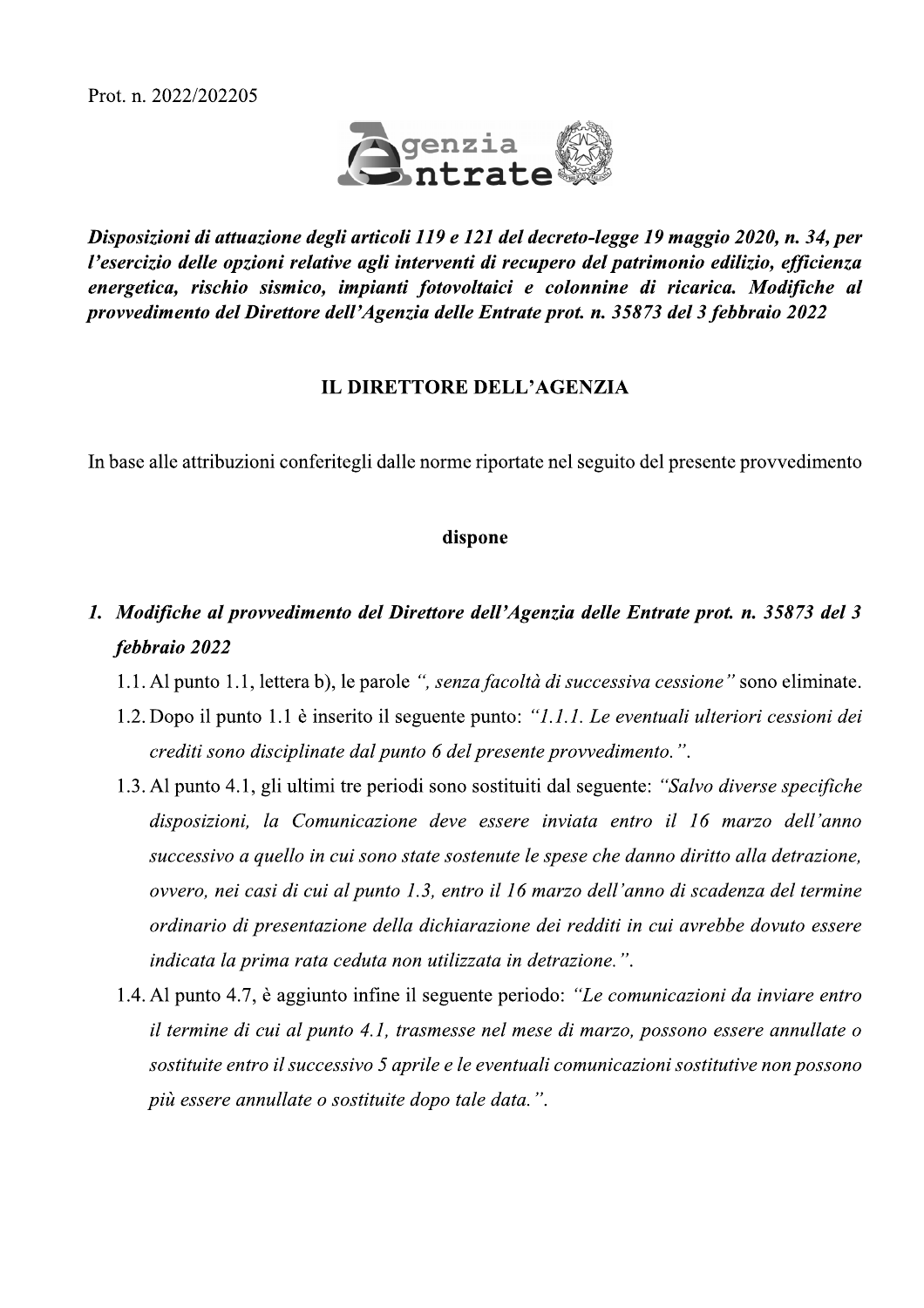

Disposizioni di attuazione degli articoli 119 e 121 del decreto-legge 19 maggio 2020, n. 34, per l'esercizio delle opzioni relative agli interventi di recupero del patrimonio edilizio, efficienza energetica, rischio sismico, impianti fotovoltaici e colonnine di ricarica. Modifiche al provvedimento del Direttore dell'Agenzia delle Entrate prot. n. 35873 del 3 febbraio 2022

#### **IL DIRETTORE DELL'AGENZIA**

In base alle attribuzioni conferitegli dalle norme riportate nel seguito del presente provvedimento

#### dispone

- 1. Modifiche al provvedimento del Direttore dell'Agenzia delle Entrate prot. n. 35873 del 3 febbraio 2022
	- 1.1. Al punto 1.1, lettera b), le parole ", senza facoltà di successiva cessione" sono eliminate.
	- 1.2. Dopo il punto 1.1 è inserito il seguente punto: "1.1.1. Le eventuali ulteriori cessioni dei crediti sono disciplinate dal punto 6 del presente provvedimento.".
	- 1.3. Al punto 4.1, gli ultimi tre periodi sono sostituiti dal seguente: "Salvo diverse specifiche" disposizioni, la Comunicazione deve essere inviata entro il 16 marzo dell'anno successivo a quello in cui sono state sostenute le spese che danno diritto alla detrazione, ovvero, nei casi di cui al punto 1.3, entro il 16 marzo dell'anno di scadenza del termine ordinario di presentazione della dichiarazione dei redditi in cui avrebbe dovuto essere indicata la prima rata ceduta non utilizzata in detrazione.".
	- 1.4. Al punto 4.7, è aggiunto infine il seguente periodo: "Le comunicazioni da inviare entro il termine di cui al punto 4.1, trasmesse nel mese di marzo, possono essere annullate o sostituite entro il successivo 5 aprile e le eventuali comunicazioni sostitutive non possono più essere annullate o sostituite dopo tale data.".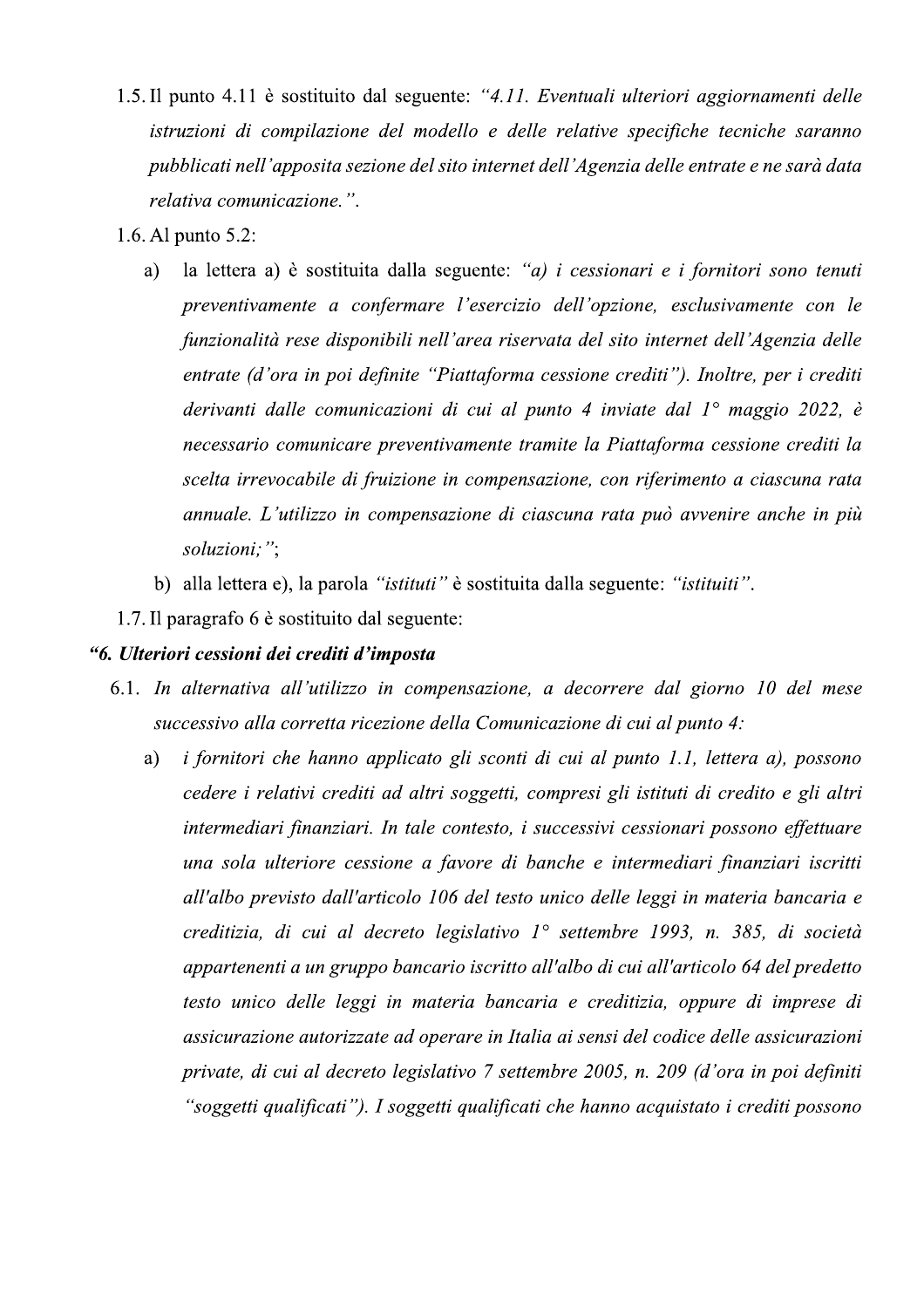- 1.5. Il punto 4.11 è sostituito dal seguente: "4.11. Eventuali ulteriori aggiornamenti delle istruzioni di compilazione del modello e delle relative specifiche tecniche saranno pubblicati nell'apposita sezione del sito internet dell'Agenzia delle entrate e ne sarà data relativa comunicazione.".
- 1.6. Al punto 5.2:
	- la lettera a) è sostituita dalla seguente: "a) i cessionari e i fornitori sono tenuti a) preventivamente a confermare l'esercizio dell'opzione, esclusivamente con le funzionalità rese disponibili nell'area riservata del sito internet dell'Agenzia delle entrate (d'ora in poi definite "Piattaforma cessione crediti"). Inoltre, per i crediti derivanti dalle comunicazioni di cui al punto 4 inviate dal  $1^{\circ}$  maggio 2022, è necessario comunicare preventivamente tramite la Piattaforma cessione crediti la scelta irrevocabile di fruizione in compensazione, con riferimento a ciascuna rata annuale. L'utilizzo in compensazione di ciascuna rata può avvenire anche in più soluzioni;";
		- b) alla lettera e), la parola "istituti" è sostituita dalla seguente: "istituiti".
- 1.7. Il paragrafo 6 è sostituito dal seguente:

### "6. Ulteriori cessioni dei crediti d'imposta

- 6.1. In alternativa all'utilizzo in compensazione, a decorrere dal giorno 10 del mese successivo alla corretta ricezione della Comunicazione di cui al punto 4:
	- i fornitori che hanno applicato gli sconti di cui al punto 1.1, lettera a), possono a) cedere i relativi crediti ad altri soggetti, compresi gli istituti di credito e gli altri intermediari finanziari. In tale contesto, i successivi cessionari possono effettuare una sola ulteriore cessione a favore di banche e intermediari finanziari iscritti all'albo previsto dall'articolo 106 del testo unico delle leggi in materia bancaria e creditizia, di cui al decreto legislativo 1° settembre 1993, n. 385, di società appartenenti a un gruppo bancario iscritto all'albo di cui all'articolo 64 del predetto testo unico delle leggi in materia bancaria e creditizia, oppure di imprese di assicurazione autorizzate ad operare in Italia ai sensi del codice delle assicurazioni private, di cui al decreto legislativo 7 settembre 2005, n. 209 (d'ora in poi definiti "soggetti qualificati"). I soggetti qualificati che hanno acquistato i crediti possono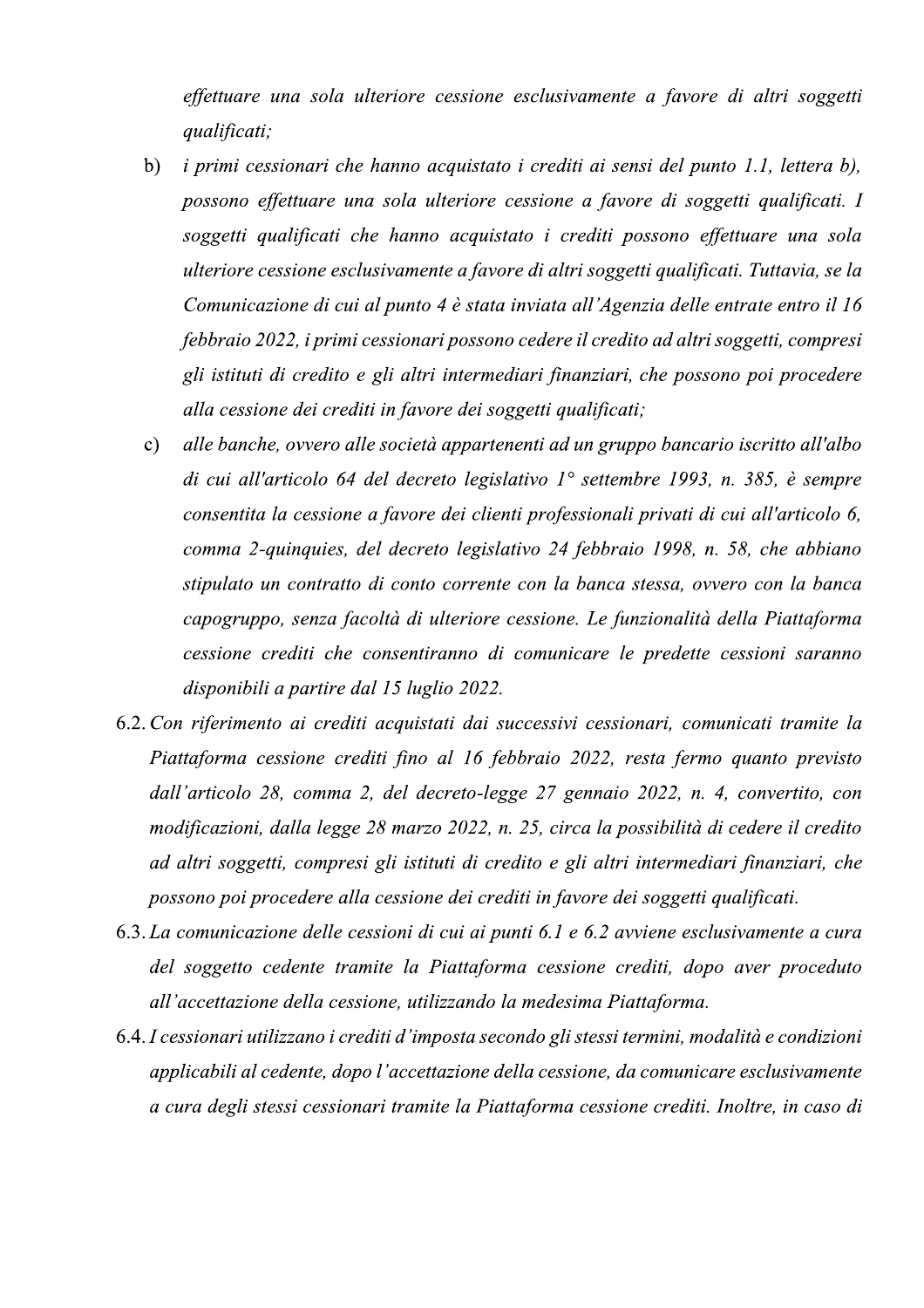effettuare una sola ulteriore cessione esclusivamente a favore di altri soggetti qualificati;

- *i primi cessionari che hanno acquistato i crediti ai sensi del punto 1.1, lettera b),*  $b)$ possono effettuare una sola ulteriore cessione a favore di soggetti qualificati. I soggetti qualificati che hanno acquistato i crediti possono effettuare una sola ulteriore cessione esclusivamente a favore di altri soggetti qualificati. Tuttavia, se la Comunicazione di cui al punto 4 è stata inviata all'Agenzia delle entrate entro il 16 febbraio 2022, i primi cessionari possono cedere il credito ad altri soggetti, compresi gli istituti di credito e gli altri intermediari finanziari, che possono poi procedere alla cessione dei crediti in favore dei soggetti qualificati;
- alle banche, ovvero alle società appartenenti ad un gruppo bancario iscritto all'albo  $\mathbf{c})$ di cui all'articolo 64 del decreto legislativo 1° settembre 1993, n. 385, è sempre consentita la cessione a favore dei clienti professionali privati di cui all'articolo 6, comma 2-quinquies, del decreto legislativo 24 febbraio 1998, n. 58, che abbiano stipulato un contratto di conto corrente con la banca stessa, ovvero con la banca capogruppo, senza facoltà di ulteriore cessione. Le funzionalità della Piattaforma cessione crediti che consentiranno di comunicare le predette cessioni saranno disponibili a partire dal 15 luglio 2022.
- 6.2. Con riferimento ai crediti acquistati dai successivi cessionari, comunicati tramite la Piattaforma cessione crediti fino al 16 febbraio 2022, resta fermo quanto previsto dall'articolo 28, comma 2, del decreto-legge 27 gennaio 2022, n. 4, convertito, con modificazioni, dalla legge 28 marzo 2022, n. 25, circa la possibilità di cedere il credito ad altri soggetti, compresi gli istituti di credito e gli altri intermediari finanziari, che possono poi procedere alla cessione dei crediti in favore dei soggetti qualificati.
- 6.3. La comunicazione delle cessioni di cui ai punti 6.1 e 6.2 avviene esclusivamente a cura del soggetto cedente tramite la Piattaforma cessione crediti, dopo aver proceduto all'accettazione della cessione, utilizzando la medesima Piattaforma.
- 6.4. I cessionari utilizzano i crediti d'imposta secondo gli stessi termini, modalità e condizioni applicabili al cedente, dopo l'accettazione della cessione, da comunicare esclusivamente a cura degli stessi cessionari tramite la Piattaforma cessione crediti. Inoltre, in caso di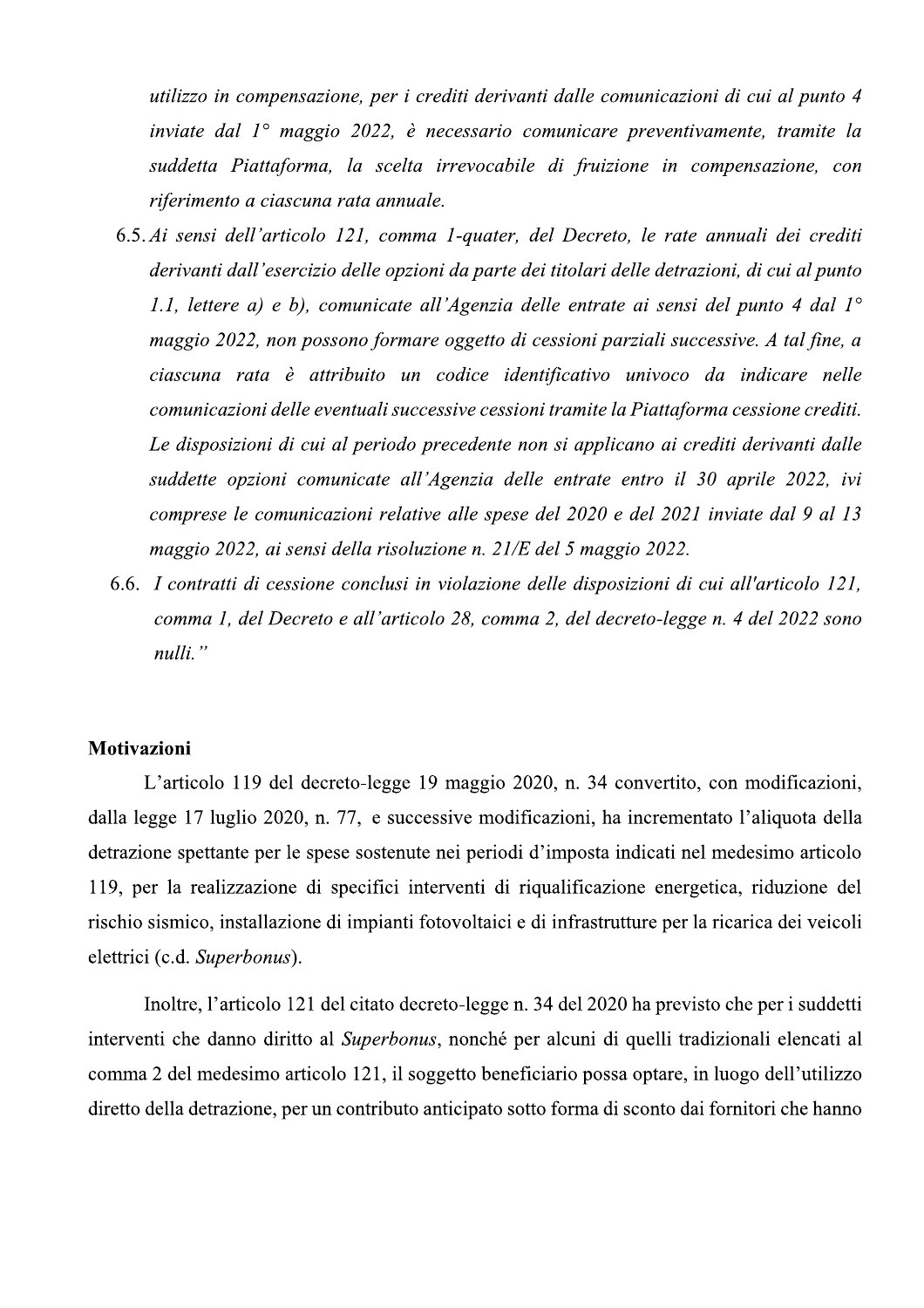utilizzo in compensazione, per i crediti derivanti dalle comunicazioni di cui al punto 4 inviate dal  $1^\circ$  maggio 2022, è necessario comunicare preventivamente, tramite la suddetta Piattaforma, la scelta irrevocabile di fruizione in compensazione, con riferimento a ciascuna rata annuale.

- 6.5. Ai sensi dell'articolo 121, comma 1-quater, del Decreto, le rate annuali dei crediti derivanti dall'esercizio delle opzioni da parte dei titolari delle detrazioni, di cui al punto 1.1, lettere a) e b), comunicate all'Agenzia delle entrate ai sensi del punto 4 dal  $1^{\circ}$ maggio 2022, non possono formare oggetto di cessioni parziali successive. A tal fine, a ciascuna rata è attribuito un codice identificativo univoco da indicare nelle comunicazioni delle eventuali successive cessioni tramite la Piattaforma cessione crediti. Le disposizioni di cui al periodo precedente non si applicano ai crediti derivanti dalle suddette opzioni comunicate all'Agenzia delle entrate entro il 30 aprile 2022, ivi comprese le comunicazioni relative alle spese del 2020 e del 2021 inviate dal 9 al 13 maggio 2022, ai sensi della risoluzione n. 21/E del 5 maggio 2022.
- 6.6. I contratti di cessione conclusi in violazione delle disposizioni di cui all'articolo 121, comma 1, del Decreto e all'articolo 28, comma 2, del decreto-legge n. 4 del 2022 sono nulli."

#### Motivazioni

L'articolo 119 del decreto-legge 19 maggio 2020, n. 34 convertito, con modificazioni, dalla legge 17 luglio 2020, n. 77, e successive modificazioni, ha incrementato l'aliquota della detrazione spettante per le spese sostenute nei periodi d'imposta indicati nel medesimo articolo 119, per la realizzazione di specifici interventi di riqualificazione energetica, riduzione del rischio sismico, installazione di impianti fotovoltaici e di infrastrutture per la ricarica dei veicoli elettrici (c.d. Superbonus).

Inoltre, l'articolo 121 del citato decreto-legge n. 34 del 2020 ha previsto che per i suddetti interventi che danno diritto al Superbonus, nonché per alcuni di quelli tradizionali elencati al comma 2 del medesimo articolo 121, il soggetto beneficiario possa optare, in luogo dell'utilizzo diretto della detrazione, per un contributo anticipato sotto forma di sconto dai fornitori che hanno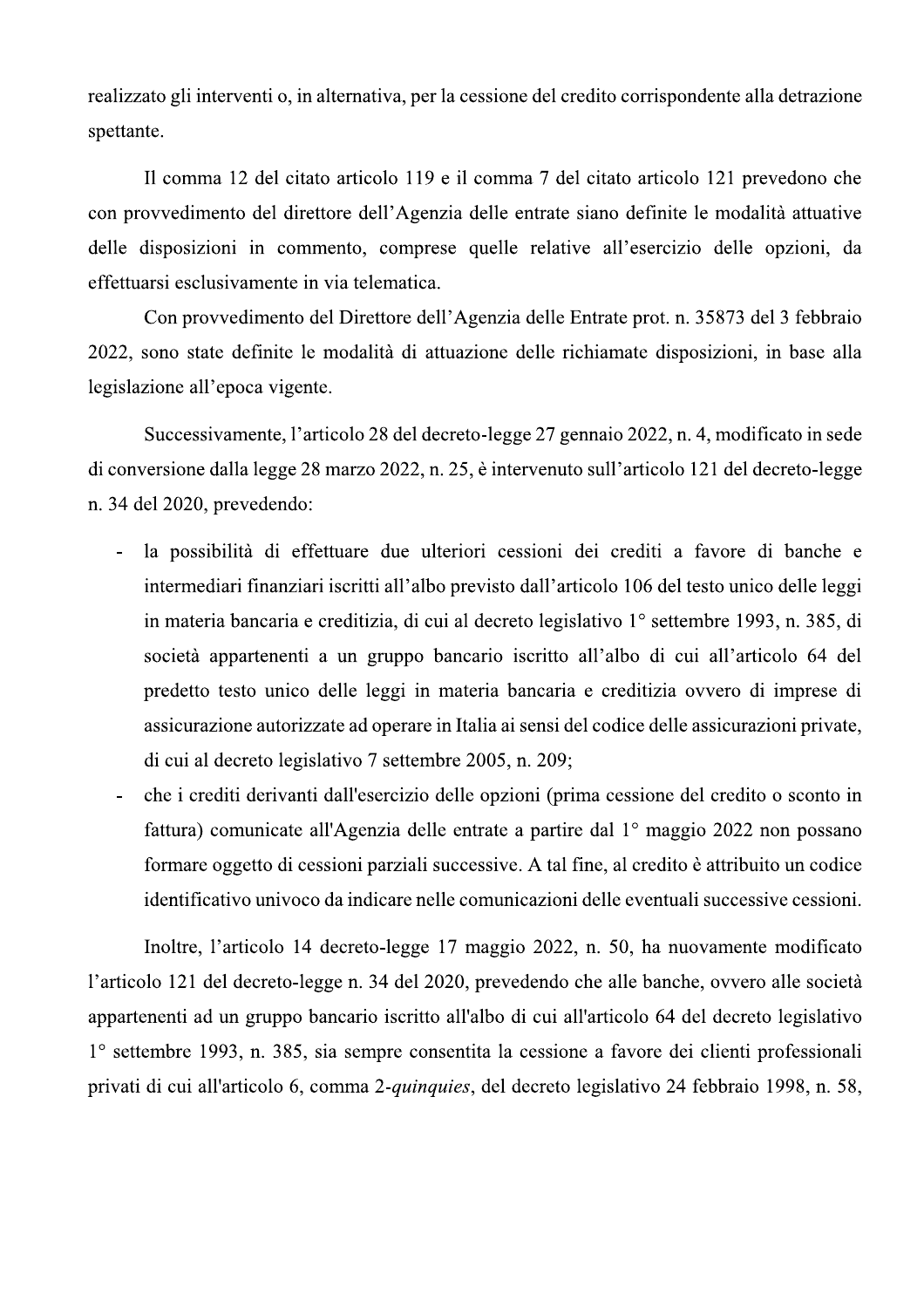realizzato gli interventi o, in alternativa, per la cessione del credito corrispondente alla detrazione spettante.

Il comma 12 del citato articolo 119 e il comma 7 del citato articolo 121 prevedono che con provvedimento del direttore dell'Agenzia delle entrate siano definite le modalità attuative delle disposizioni in commento, comprese quelle relative all'esercizio delle opzioni, da effettuarsi esclusivamente in via telematica.

Con provvedimento del Direttore dell'Agenzia delle Entrate prot. n. 35873 del 3 febbraio 2022, sono state definite le modalità di attuazione delle richiamate disposizioni, in base alla legislazione all'epoca vigente.

Successivamente, l'articolo 28 del decreto-legge 27 gennaio 2022, n. 4, modificato in sede di conversione dalla legge 28 marzo 2022, n. 25, è intervenuto sull'articolo 121 del decreto-legge n. 34 del 2020, prevedendo:

- la possibilità di effettuare due ulteriori cessioni dei crediti a favore di banche e  $\omega_{\rm{eff}}$ intermediari finanziari iscritti all'albo previsto dall'articolo 106 del testo unico delle leggi in materia bancaria e creditizia, di cui al decreto legislativo 1<sup>°</sup> settembre 1993, n. 385, di società appartenenti a un gruppo bancario iscritto all'albo di cui all'articolo 64 del predetto testo unico delle leggi in materia bancaria e creditizia ovvero di imprese di assicurazione autorizzate ad operare in Italia ai sensi del codice delle assicurazioni private, di cui al decreto legislativo 7 settembre 2005, n. 209;
- che i crediti derivanti dall'esercizio delle opzioni (prima cessione del credito o sconto in  $\overline{a}$ fattura) comunicate all'Agenzia delle entrate a partire dal 1<sup>°</sup> maggio 2022 non possano formare oggetto di cessioni parziali successive. A tal fine, al credito è attribuito un codice identificativo univoco da indicare nelle comunicazioni delle eventuali successive cessioni.

Inoltre, l'articolo 14 decreto-legge 17 maggio 2022, n. 50, ha nuovamente modificato l'articolo 121 del decreto-legge n. 34 del 2020, prevedendo che alle banche, ovvero alle società appartenenti ad un gruppo bancario iscritto all'albo di cui all'articolo 64 del decreto legislativo 1° settembre 1993, n. 385, sia sempre consentita la cessione a favore dei clienti professionali privati di cui all'articolo 6, comma 2-quinquies, del decreto legislativo 24 febbraio 1998, n. 58,